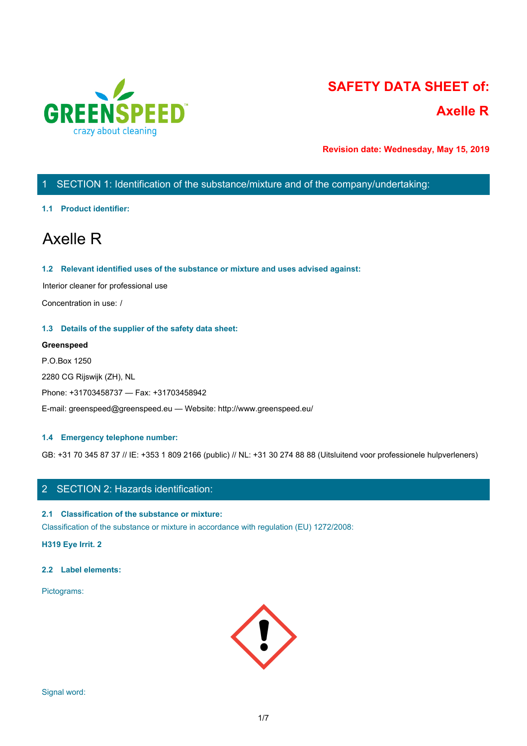

# **SAFETY DATA SHEET of: Axelle R**

**Revision date: Wednesday, May 15, 2019**

# 1 SECTION 1: Identification of the substance/mixture and of the company/undertaking:

## **1.1 Product identifier:**

# Axelle R

## **1.2 Relevant identified uses of the substance or mixture and uses advised against:**

Interior cleaner for professional use

Concentration in use: /

## **1.3 Details of the supplier of the safety data sheet:**

# **Greenspeed**

P.O.Box 1250 2280 CG Rijswijk (ZH), NL Phone: +31703458737 — Fax: +31703458942 E-mail: greenspeed@greenspeed.eu — Website: http://www.greenspeed.eu/

# **1.4 Emergency telephone number:**

GB: +31 70 345 87 37 // IE: +353 1 809 2166 (public) // NL: +31 30 274 88 88 (Uitsluitend voor professionele hulpverleners)

# 2 SECTION 2: Hazards identification:

# **2.1 Classification of the substance or mixture:**

Classification of the substance or mixture in accordance with regulation (EU) 1272/2008:

**H319 Eye Irrit. 2**

## **2.2 Label elements:**

Pictograms:

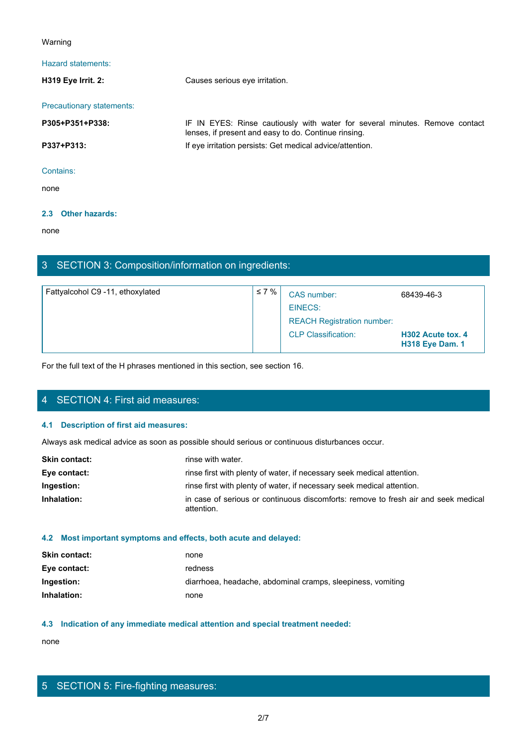## Warning

| Warning                   |                                                                                                                                     |
|---------------------------|-------------------------------------------------------------------------------------------------------------------------------------|
| Hazard statements:        |                                                                                                                                     |
| H319 Eye Irrit. 2:        | Causes serious eye irritation.                                                                                                      |
| Precautionary statements: |                                                                                                                                     |
| P305+P351+P338:           | IF IN EYES: Rinse cautiously with water for several minutes. Remove contact<br>lenses, if present and easy to do. Continue rinsing. |
| P337+P313:                | If eye irritation persists: Get medical advice/attention.                                                                           |
| Contains:                 |                                                                                                                                     |
| none                      |                                                                                                                                     |

## **2.3 Other hazards:**

none and the state of the state of the state of the state of the state of the state of the state of the state of the state of the state of the state of the state of the state of the state of the state of the state of the s

# 3 SECTION 3: Composition/information on ingredients:

| Fattyalcohol C9 -11, ethoxylated | $\leq 7\%$ | CAS number:                       | 68439-46-3                                  |
|----------------------------------|------------|-----------------------------------|---------------------------------------------|
|                                  |            | EINECS:                           |                                             |
|                                  |            | <b>REACH Registration number:</b> |                                             |
|                                  |            | <b>CLP Classification:</b>        | H302 Acute tox. 4<br><b>H318 Eye Dam. 1</b> |

For the full text of the H phrases mentioned in this section, see section 16.

# 4 SECTION 4: First aid measures:

## **4.1 Description of first aid measures:**

Always ask medical advice as soon as possible should serious or continuous disturbances occur.

| <b>Skin contact:</b> | rinse with water.                                                                                |
|----------------------|--------------------------------------------------------------------------------------------------|
| Eye contact:         | rinse first with plenty of water, if necessary seek medical attention.                           |
| Ingestion:           | rinse first with plenty of water, if necessary seek medical attention.                           |
| Inhalation:          | in case of serious or continuous discomforts: remove to fresh air and seek medical<br>attention. |

# **4.2 Most important symptoms and effects, both acute and delayed:**

| <b>Skin contact:</b> | none                                                        |
|----------------------|-------------------------------------------------------------|
| Eye contact:         | redness                                                     |
| Ingestion:           | diarrhoea, headache, abdominal cramps, sleepiness, vomiting |
| Inhalation:          | none                                                        |

# **4.3 Indication of any immediate medical attention and special treatment needed:**

none and the state of the state of the state of the state of the state of the state of the state of the state of the state of the state of the state of the state of the state of the state of the state of the state of the s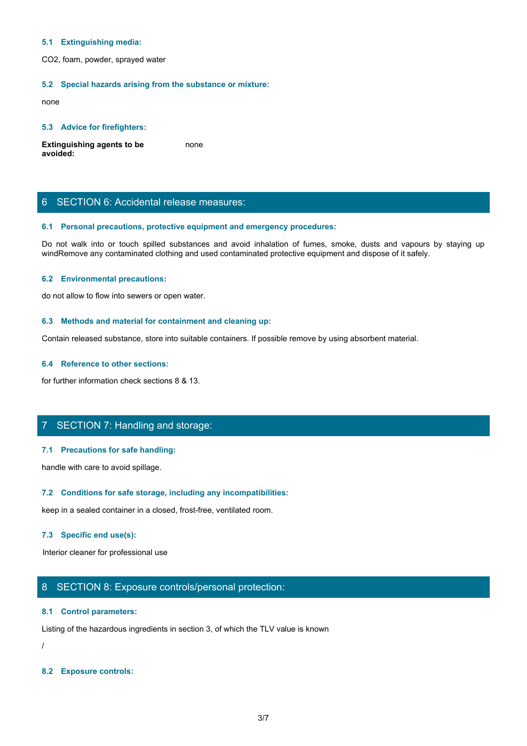#### **5.1 Extinguishing media:**

CO2, foam, powder, sprayed water

#### **5.2 Special hazards arising from the substance or mixture:**

none and the state of the state of the state of the state of the state of the state of the state of the state of the state of the state of the state of the state of the state of the state of the state of the state of the s

#### **5.3 Advice for firefighters:**

**Extinguishing agents to be avoided:** none and the state of the state of the state of the state of the state of the state of the state of the state of the state of the state of the state of the state of the state of the state of the state of the state of the s

# 6 SECTION 6: Accidental release measures:

## **6.1 Personal precautions, protective equipment and emergency procedures:**

5.1 Extinguishing media:<br>Do 2, foam, powder, sprayed water<br>Bo notes and avoid in the substance or mixture:<br>Extinguishing agents to be<br>provided:<br>Bo not walk into or touch spilled substances and avoid inhalation of fumes, sm windRemove any contaminated clothing and used contaminated protective equipment and dispose of it safely.

## **6.2 Environmental precautions:**

do not allow to flow into sewers or open water.

#### **6.3 Methods and material for containment and cleaning up:**

Contain released substance, store into suitable containers. If possible remove by using absorbent material.

## **6.4 Reference to other sections:**

for further information check sections 8 & 13.

# 7 SECTION 7: Handling and storage:

## **7.1 Precautions for safe handling:**

handle with care to avoid spillage.

#### **7.2 Conditions for safe storage, including any incompatibilities:**

keep in a sealed container in a closed, frost-free, ventilated room.

#### **7.3 Specific end use(s):**

Interior cleaner for professional use

# 8 SECTION 8: Exposure controls/personal protection:

#### **8.1 Control parameters:**

Listing of the hazardous ingredients in section 3, of which the TLV value is known

/

#### **8.2 Exposure controls:**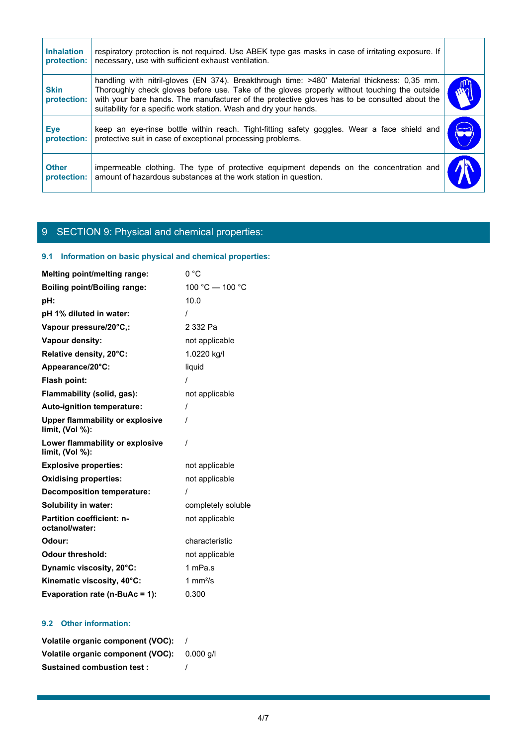| respiratory protection is not required. Use ABEK type gas masks in case of irritating exposure. If                                                                                                                                                                                                                                                                |            |
|-------------------------------------------------------------------------------------------------------------------------------------------------------------------------------------------------------------------------------------------------------------------------------------------------------------------------------------------------------------------|------------|
| necessary, use with sufficient exhaust ventilation.                                                                                                                                                                                                                                                                                                               |            |
| handling with nitril-gloves (EN 374). Breakthrough time: >480' Material thickness: 0,35 mm.<br>Thoroughly check gloves before use. Take of the gloves properly without touching the outside<br>with your bare hands. The manufacturer of the protective gloves has to be consulted about the<br>suitability for a specific work station. Wash and dry your hands. |            |
| keep an eye-rinse bottle within reach. Tight-fitting safety goggles. Wear a face shield and<br>protective suit in case of exceptional processing problems.                                                                                                                                                                                                        | $\bigodot$ |
|                                                                                                                                                                                                                                                                                                                                                                   |            |
|                                                                                                                                                                                                                                                                                                                                                                   |            |

# 9 SECTION 9: Physical and chemical properties:

# **9.1 Information on basic physical and chemical properties:**

| <b>Melting point/melting range:</b>                       | 0 °C               |
|-----------------------------------------------------------|--------------------|
| <b>Boiling point/Boiling range:</b>                       | 100 °C - 100 °C    |
| pH:                                                       | 10.0               |
| pH 1% diluted in water:                                   |                    |
| Vapour pressure/20°C,:                                    | 2 332 Pa           |
| Vapour density:                                           | not applicable     |
| Relative density, 20°C:                                   | 1.0220 kg/l        |
| Appearance/20°C:                                          | liquid             |
| Flash point:                                              |                    |
| Flammability (solid, gas):                                | not applicable     |
| Auto-ignition temperature:                                | $\prime$           |
| <b>Upper flammability or explosive</b><br>limit, (Vol %): | $\prime$           |
| Lower flammability or explosive<br>limit, (Vol %):        | $\prime$           |
| <b>Explosive properties:</b>                              | not applicable     |
| <b>Oxidising properties:</b>                              | not applicable     |
| <b>Decomposition temperature:</b>                         | $\prime$           |
| Solubility in water:                                      | completely soluble |
| Partition coefficient: n-<br>octanol/water:               | not applicable     |
| Odour:                                                    | characteristic     |
| <b>Odour threshold:</b>                                   | not applicable     |
| Dynamic viscosity, 20°C:                                  | 1 mPa.s            |
| Kinematic viscosity, 40°C:                                | 1 $mm2/s$          |
| Evaporation rate (n-BuAc = 1):                            | 0.300              |

# **9.2 Other information:**

| Volatile organic component (VOC): |           |
|-----------------------------------|-----------|
| Volatile organic component (VOC): | 0.000 a/l |
| <b>Sustained combustion test:</b> |           |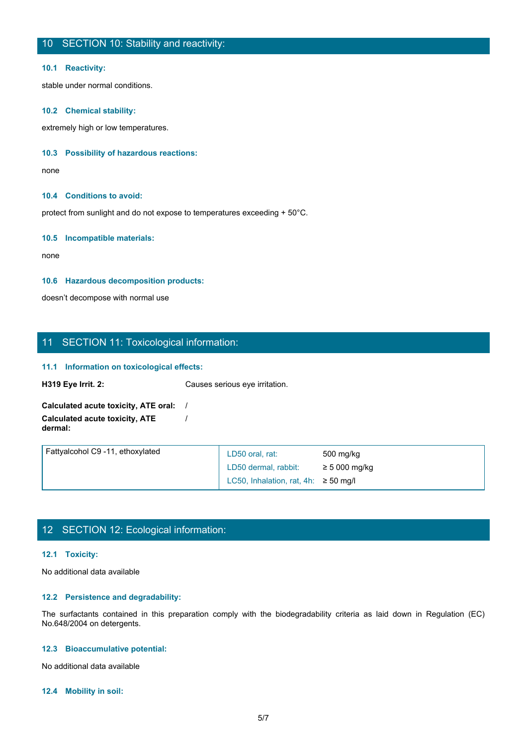#### **10.1 Reactivity:**

stable under normal conditions.

## **10.2 Chemical stability:**

extremely high or low temperatures.

## **10.3 Possibility of hazardous reactions:**

none and the state of the state of the state of the state of the state of the state of the state of the state o

#### **10.4 Conditions to avoid:**

protect from sunlight and do not expose to temperatures exceeding + 50°C.

## **10.5 Incompatible materials:**

none and the state of the state of the state of the state of the state of the state of the state of the state of the state of the state of the state of the state of the state of the state of the state of the state of the s

#### **10.6 Hazardous decomposition products:**

doesn't decompose with normal use

# 11 SECTION 11: Toxicological information:

#### **11.1 Information on toxicological effects:**

| <b>H319 Eye Irrit. 2:</b>                                | Causes serious eye irritation.           |                                                                                                                         |  |
|----------------------------------------------------------|------------------------------------------|-------------------------------------------------------------------------------------------------------------------------|--|
|                                                          |                                          |                                                                                                                         |  |
| Calculated acute toxicity, ATE oral:                     |                                          |                                                                                                                         |  |
| <b>Calculated acute toxicity, ATE</b><br>dermal:         |                                          |                                                                                                                         |  |
| Fattyalcohol C9 -11, ethoxylated                         | LD50 oral, rat:                          | 500 mg/kg                                                                                                               |  |
|                                                          | LD50 dermal, rabbit:                     | $\geq$ 5 000 mg/kg                                                                                                      |  |
|                                                          | LC50, Inhalation, rat, 4h: $\ge$ 50 mg/l |                                                                                                                         |  |
| 12 SECTION 12: Ecological information:<br>12.1 Toxicity: |                                          |                                                                                                                         |  |
| No additional data available                             |                                          |                                                                                                                         |  |
| 12.2 Persistence and degradability:                      |                                          |                                                                                                                         |  |
| No.648/2004 on detergents.                               |                                          | The surfactants contained in this preparation comply with the biodegradability criteria as laid down in Regulation (EC) |  |
| 12.3 Bioaccumulative potential:                          |                                          |                                                                                                                         |  |
| No additional data available                             |                                          |                                                                                                                         |  |
|                                                          |                                          |                                                                                                                         |  |

# 12 SECTION 12: Ecological information:

#### **12.1 Toxicity:**

# **12.2 Persistence and degradability:**

#### **12.3 Bioaccumulative potential:**

#### **12.4 Mobility in soil:**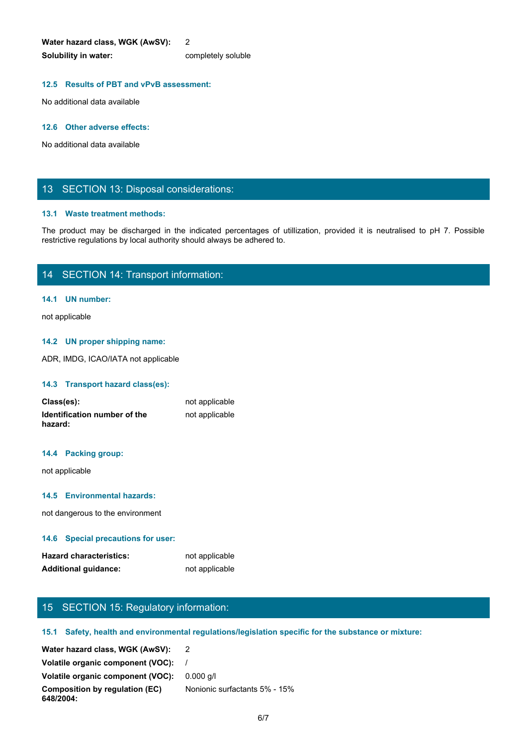**Water hazard class, WGK (AwSV):** 2 **Solubility in water:** completely soluble

## **12.5 Results of PBT and vPvB assessment:**

No additional data available

#### **12.6 Other adverse effects:**

No additional data available

# 13 SECTION 13: Disposal considerations:

#### **13.1 Waste treatment methods:**

Water hazard class, WGK (AwSV): 2<br>Solubility in water:<br>The production of PBT and VPVB assessment:<br>No additional data available<br>No additional data available<br>The product may be discharged in the indicated percentages of util restrictive regulations by local authority should always be adhered to.

# 14 SECTION 14: Transport information:

## **14.1 UN number:**

not applicable

#### **14.2 UN proper shipping name:**

ADR, IMDG, ICAO/IATA not applicable

#### **14.3 Transport hazard class(es):**

| Class(es):                              | not applicable |
|-----------------------------------------|----------------|
| Identification number of the<br>hazard: | not applicable |

#### **14.4 Packing group:**

not applicable

## **14.5 Environmental hazards:**

not dangerous to the environment

## **14.6 Special precautions for user:**

| <b>Hazard characteristics:</b> | not applicable |
|--------------------------------|----------------|
| <b>Additional guidance:</b>    | not applicable |

# 15 SECTION 15: Regulatory information:

## **15.1 Safety, health and environmental regulations/legislation specific for the substance or mixture:**

| Water hazard class, WGK (AwSV):             |                               |
|---------------------------------------------|-------------------------------|
| Volatile organic component (VOC):           |                               |
| Volatile organic component (VOC):           | $0.000 \text{ a/l}$           |
| Composition by regulation (EC)<br>648/2004: | Nonionic surfactants 5% - 15% |